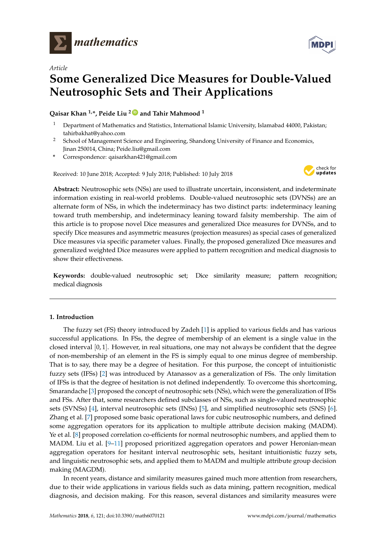

*Article*

# **Some Generalized Dice Measures for Double-Valued Neutrosophic Sets and Their Applications**

**Qaisar Khan 1,\*, Peide Liu <sup>2</sup> [ID](https://orcid.org/0000-0001-5048-8145) and Tahir Mahmood <sup>1</sup>**

- <sup>1</sup> Department of Mathematics and Statistics, International Islamic University, Islamabad 44000, Pakistan; tahirbakhat@yahoo.com
- <sup>2</sup> School of Management Science and Engineering, Shandong University of Finance and Economics, Jinan 250014, China; Peide.liu@gmail.com
- **\*** Correspondence: qaisarkhan421@gmail.com

Received: 10 June 2018; Accepted: 9 July 2018; Published: 10 July 2018



**Abstract:** Neutrosophic sets (NSs) are used to illustrate uncertain, inconsistent, and indeterminate information existing in real-world problems. Double-valued neutrosophic sets (DVNSs) are an alternate form of NSs, in which the indeterminacy has two distinct parts: indeterminacy leaning toward truth membership, and indeterminacy leaning toward falsity membership. The aim of this article is to propose novel Dice measures and generalized Dice measures for DVNSs, and to specify Dice measures and asymmetric measures (projection measures) as special cases of generalized Dice measures via specific parameter values. Finally, the proposed generalized Dice measures and generalized weighted Dice measures were applied to pattern recognition and medical diagnosis to show their effectiveness.

**Keywords:** double-valued neutrosophic set; Dice similarity measure; pattern recognition; medical diagnosis

# **1. Introduction**

The fuzzy set (FS) theory introduced by Zadeh [\[1\]](#page-13-0) is applied to various fields and has various successful applications. In FSs, the degree of membership of an element is a single value in the closed interval  $[0, 1]$ . However, in real situations, one may not always be confident that the degree of non-membership of an element in the FS is simply equal to one minus degree of membership. That is to say, there may be a degree of hesitation. For this purpose, the concept of intuitionistic fuzzy sets (IFSs) [\[2\]](#page-13-1) was introduced by Atanassov as a generalization of FSs. The only limitation of IFSs is that the degree of hesitation is not defined independently. To overcome this shortcoming, Smarandache [\[3\]](#page-13-2) proposed the concept of neutrosophic sets (NSs), which were the generalization of IFSs and FSs. After that, some researchers defined subclasses of NSs, such as single-valued neutrosophic sets (SVNSs) [\[4\]](#page-14-0), interval neutrosophic sets (INSs) [\[5\]](#page-14-1), and simplified neutrosophic sets (SNS) [\[6\]](#page-14-2). Zhang et al. [\[7\]](#page-14-3) proposed some basic operational laws for cubic neutrosophic numbers, and defined some aggregation operators for its application to multiple attribute decision making (MADM). Ye et al. [\[8\]](#page-14-4) proposed correlation co-efficients for normal neutrosophic numbers, and applied them to MADM. Liu et al. [\[9](#page-14-5)-11] proposed prioritized aggregation operators and power Heronian-mean aggregation operators for hesitant interval neutrosophic sets, hesitant intuitionistic fuzzy sets, and linguistic neutrosophic sets, and applied them to MADM and multiple attribute group decision making (MAGDM).

In recent years, distance and similarity measures gained much more attention from researchers, due to their wide applications in various fields such as data mining, pattern recognition, medical diagnosis, and decision making. For this reason, several distances and similarity measures were

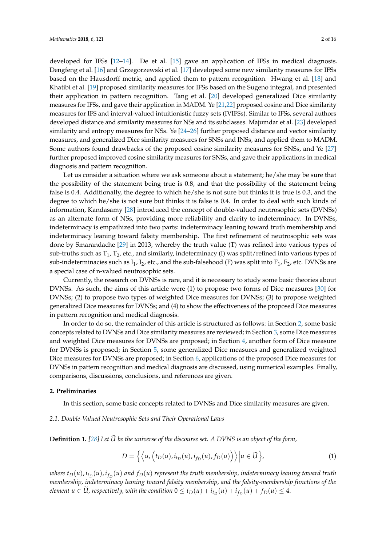developed for IFSs [\[12](#page-14-7)[–14\]](#page-14-8). De et al. [\[15\]](#page-14-9) gave an application of IFSs in medical diagnosis. Dengfeng et al. [\[16\]](#page-14-10) and Grzegorzewski et al. [\[17\]](#page-14-11) developed some new similarity measures for IFSs based on the Hausdorff metric, and applied them to pattern recognition. Hwang et al. [\[18\]](#page-14-12) and Khatibi et al. [\[19\]](#page-14-13) proposed similarity measures for IFSs based on the Sugeno integral, and presented their application in pattern recognition. Tang et al. [\[20\]](#page-14-14) developed generalized Dice similarity measures for IFSs, and gave their application in MADM. Ye [\[21](#page-14-15)[,22\]](#page-14-16) proposed cosine and Dice similarity measures for IFS and interval-valued intuitionistic fuzzy sets (IVIFSs). Similar to IFSs, several authors developed distance and similarity measures for NSs and its subclasses. Majumdar et al. [\[23\]](#page-14-17) developed similarity and entropy measures for NSs. Ye [\[24](#page-14-18)[–26\]](#page-14-19) further proposed distance and vector similarity measures, and generalized Dice similarity measures for SNSs and INSs, and applied them to MADM. Some authors found drawbacks of the proposed cosine similarity measures for SNSs, and Ye [\[27\]](#page-14-20) further proposed improved cosine similarity measures for SNSs, and gave their applications in medical diagnosis and pattern recognition.

Let us consider a situation where we ask someone about a statement; he/she may be sure that the possibility of the statement being true is 0.8, and that the possibility of the statement being false is 0.4. Additionally, the degree to which he/she is not sure but thinks it is true is 0.3, and the degree to which he/she is not sure but thinks it is false is 0.4. In order to deal with such kinds of information, Kandasamy [\[28\]](#page-15-0) introduced the concept of double-valued neutrosophic sets (DVNSs) as an alternate form of NSs, providing more reliability and clarity to indeterminacy. In DVNSs, indeterminacy is empathized into two parts: indeterminacy leaning toward truth membership and indeterminacy leaning toward falsity membership. The first refinement of neutrosophic sets was done by Smarandache [\[29\]](#page-15-1) in 2013, whereby the truth value (T) was refined into various types of sub-truths such as  $T_1$ ,  $T_2$ , etc., and similarly, indeterminacy (I) was split/refined into various types of sub-indeterminacies such as  $I_1$ ,  $I_2$ , etc., and the sub-falsehood (F) was split into  $F_1$ ,  $F_2$ , etc. DVNSs are a special case of n-valued neutrosophic sets.

Currently, the research on DVNSs is rare, and it is necessary to study some basic theories about DVNSs. As such, the aims of this article were (1) to propose two forms of Dice measures [\[30\]](#page-15-2) for DVNSs; (2) to propose two types of weighted Dice measures for DVNSs; (3) to propose weighted generalized Dice measures for DVNSs; and (4) to show the effectiveness of the proposed Dice measures in pattern recognition and medical diagnosis.

In order to do so, the remainder of this article is structured as follows: in Section [2,](#page-1-0) some basic concepts related to DVNSs and Dice similarity measures are reviewed; in Section [3,](#page-3-0) some Dice measures and weighted Dice measures for DVNSs are proposed; in Section [4,](#page-4-0) another form of Dice measure for DVNSs is proposed; in Section [5,](#page-5-0) some generalized Dice measures and generalized weighted Dice measures for DVNSs are proposed; in Section [6,](#page-9-0) applications of the proposed Dice measures for DVNSs in pattern recognition and medical diagnosis are discussed, using numerical examples. Finally, comparisons, discussions, conclusions, and references are given.

### <span id="page-1-0"></span>**2. Preliminaries**

In this section, some basic concepts related to DVNSs and Dice similarity measures are given.

### *2.1. Double-Valued Neutrosophic Sets and Their Operational Laws*

**Definition 1.** *[\[28\]](#page-15-0) Let U be the universe of the discourse set. A DVNS is an object of the form,* <sup>e</sup>

$$
D = \left\{ \left\langle u, \left( t_D(u), i_{t_D}(u), i_{f_D}(u), f_D(u) \right) \right\rangle \middle| u \in \widetilde{U} \right\},\tag{1}
$$

 $w$ here  $t_D(u)$ ,  $i_{f_D}(u)$  *and*  $f_D(u)$  *represent the truth membership, indeterminacy leaning toward truth membership, indeterminacy leaning toward falsity membership, and the falsity-membership functions of the element*  $u \in U$ *, respectively, with the condition*  $0 \le t_D(u) + i_{t_D}(u) + i_{f_D}(u) + f_D(u) \le 4$ .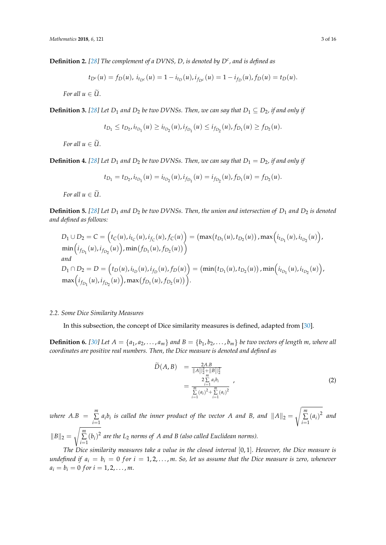**Definition 2.** *[\[28\]](#page-15-0) The complement of a DVNS, D, is denoted by D<sup>c</sup> , and is defined as*

$$
t_{D^c}(u) = f_D(u), \, i_{t_{D^c}}(u) = 1 - i_{t_D}(u), \, i_{f_{D^c}}(u) = 1 - i_{f_D}(u), \, f_D(u) = t_D(u).
$$

*For all*  $u \in \widetilde{U}$ .

**Definition 3.** [\[28\]](#page-15-0) Let  $D_1$  and  $D_2$  be two DVNSs. Then, we can say that  $D_1 \subseteq D_2$ , if and only if

$$
t_{D_1} \leq t_{D_2}, i_{t_{D_1}}(u) \geq i_{t_{D_2}}(u), i_{f_{D_1}}(u) \leq i_{f_{D_2}}(u), f_{D_1}(u) \geq f_{D_2}(u).
$$

*For all*  $u \in \widetilde{U}$ .

**Definition 4.** [\[28\]](#page-15-0) Let  $D_1$  and  $D_2$  be two DVNSs. Then, we can say that  $D_1 = D_2$ , if and only if

$$
t_{D_1} = t_{D_2}, i_{t_{D_1}}(u) = i_{t_{D_2}}(u), i_{f_{D_1}}(u) = i_{f_{D_2}}(u), f_{D_1}(u) = f_{D_2}(u).
$$

*For all*  $u \in \widetilde{U}$ .

**Definition 5.** [\[28\]](#page-15-0) Let  $D_1$  and  $D_2$  be two DVNSs. Then, the union and intersection of  $D_1$  and  $D_2$  is denoted *and defined as follows:*

$$
D_1 \cup D_2 = C = (t_C(u), i_{t_C}(u), i_{f_C}(u), f_C(u)) = (\max(t_{D_1}(u), t_{D_2}(u)), \max(t_{t_{D_1}}(u), i_{t_{D_2}}(u)),
$$
  
\n
$$
\min(i_{f_{D_1}}(u), i_{f_{D_2}}(u)), \min(f_{D_1}(u), f_{D_2}(u)))
$$
  
\nand  
\n
$$
D_1 \cap D_2 = D = (t_D(u), i_{t_D}(u), i_{f_D}(u), f_D(u)) = (\min(t_{D_1}(u), t_{D_2}(u)), \min(t_{t_{D_1}}(u), i_{t_{D_2}}(u)),
$$
  
\n
$$
\max(i_{f_{D_1}}(u), i_{f_{D_2}}(u)), \max(f_{D_1}(u), f_{D_2}(u))).
$$

### *2.2. Some Dice Similarity Measures*

In this subsection, the concept of Dice similarity measures is defined, adapted from [\[30\]](#page-15-2).

**Definition 6.** [\[30\]](#page-15-2) Let  $A = \{a_1, a_2, ..., a_m\}$  and  $B = \{b_1, b_2, ..., b_m\}$  be two vectors of length m, where all *coordinates are positive real numbers. Then, the Dice measure is denoted and defined as*

$$
\widetilde{D}(A,B) = \frac{2A.B}{\|A\|_2^2 + \|B\|_2^2}
$$
\n
$$
= \frac{2\sum\limits_{i=1}^m a_i b_i}{\sum\limits_{i=1}^m (a_i)^2 + \sum\limits_{i=1}^m (a_i)^2}
$$
\n(2)

*where*  $A.B = \sum_{m=1}^{m}$  $\sum_{i=1}^{\infty} a_i b_i$  *is called the inner product of the vector A and B, and*  $||A||_2 =$ s *m* ∑  $\sum_{i=1}^{m} (a_i)^2$  and  $||B||_2 =$ s *m* ∑  $\sum_{i=1}^{m} (b_i)^2$  are the L<sub>2</sub> norms of A and B (also called Euclidean norms).

*The Dice similarity measures take a value in the closed interval* [0, 1]. *However, the Dice measure is undefined if*  $a_i = b_i = 0$  *for*  $i = 1, 2, ..., m$ . So, let us assume that the Dice measure is zero, whenever  $a_i = b_i = 0$  *f* or  $i = 1, 2, ..., m$ .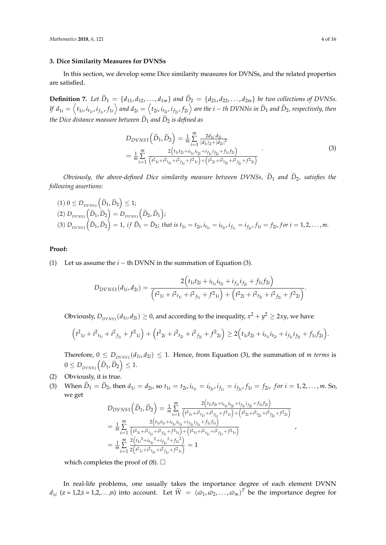### <span id="page-3-0"></span>**3. Dice Similarity Measures for DVNSs**

In this section, we develop some Dice similarity measures for DVNSs, and the related properties are satisfied.

**Definition 7.** Let  $\tilde{D}_1 = \{d_{11}, d_{12}, \ldots, d_{1m}\}$  and  $\tilde{D}_2 = \{d_{21}, d_{22}, \ldots, d_{2m}\}$  be two collections of DVNSs. If  $d_{1i}=\left\langle t_{1i},i_{t_{1i}},i_{f_{1i}},f_{1i}\right\rangle$  and  $d_{2i}=\left\langle t_{2i},i_{t_{2i}},i_{f_{2i}},f_{2i}\right\rangle$  are the  $i-th$  DVNNs in  $\widetilde{D}_1$  and  $\widetilde{D}_2$ , respectively, then *the Dice distance measure between*  $\widetilde{D}_1$  *and*  $\widetilde{D}_2$  *is defined as* 

$$
D_{DVNS1}(\tilde{D}_1, \tilde{D}_2) = \frac{1}{m} \sum_{i=1}^{m} \frac{2d_{1i} \cdot d_{2i}}{|d_{1i}|_2 + |d_{2i}|^2}
$$
  
= 
$$
\frac{1}{m} \sum_{i=1}^{m} \frac{2(t_{1i}t_{2i} + i_{t_{1i}}i_{t_{2i}} + i_{f_{1i}}i_{f_{2i}} + f_{1i}f_{2i})}{(t_{1i} + i_{t_{1i}} + i_{f_{1i}} + f_{1i}) + (t_{2i} + i_{t_{2i}} + i_{f_{2i}} + f_{2i})}
$$
(3)

*Obviously, the above-defined Dice similarity measure between DVNSs,*  $\widetilde{D}_1$  *and*  $\widetilde{D}_2$ *, satisfies the following assertions:*

$$
(1) \ 0 \leq D_{DVNS1} \left( \widetilde{D}_1, \widetilde{D}_2 \right) \leq 1; (2) \ D_{DVNS1} \left( \widetilde{D}_1, \widetilde{D}_2 \right) = D_{DVNS1} \left( \widetilde{D}_2, \widetilde{D}_1 \right); (3) \ D_{DVNS1} \left( \widetilde{D}_1, \widetilde{D}_2 \right) = 1, \ if \ \widetilde{D}_1 = \widetilde{D}_2; \ that \ is \ t_{1i} = t_{2i}, \ i_{t_{1i}} = i_{t_{2i}}, \ i_{f_{1i}} = i_{f_{2i}}, \ f_{1i} = f_{2i}, \ for \ i = 1, 2, \ldots, m.
$$

### **Proof:**

(1) Let us assume the *i* − th DVNN in the summation of Equation (3).

$$
D_{DVNS1}(d_{1i}, d_{2i}) = \frac{2(t_{1i}t_{2i} + i_{t_{1i}}i_{t_{2i}} + i_{f_{1i}}i_{f_{2i}} + f_{1i}f_{2i})}{(t_{1i} + i_{t_{1i}} + i_{f_{1i}} + f_{1i}) + (t_{2i} + i_{t_{2i}} + i_{f_{2i}} + f_{2i})}.
$$

Obviously,  $D_{DVNS1}(d_{1i}, d_{2i}) \ge 0$ , and according to the inequality,  $x^2 + y^2 \ge 2xy$ , we have

$$
(t^2_{1i}+i^2_{t_{1i}}+i^2_{t_{1i}}+f^2_{1i})+(t^2_{2i}+i^2_{t_{2i}}+i^2_{t_{2i}}+f^2_{2i})\geq 2(t_{1i}t_{2i}+i_{t_{1i}}i_{t_{2i}}+i_{f_{1i}}i_{f_{2i}}+f_{1i}f_{2i}).
$$

Therefore,  $0 \leq D_{DVNS1}(d_{1i}, d_{2i}) \leq 1$ . Hence, from Equation (3), the summation of *m terms* is  $0 \le D_{\text{DVNS}1} (\tilde{D}_1, \tilde{D}_2) \le 1.$ 

- (2) Obviously, it is true.
- (3) When  $D_1 = D_2$ , then  $d_{1i} = d_{2i}$ , so  $t_{1i} = t_{2i}$ ,  $i_{t_{1i}} = i_{t_{2i}}$ ,  $i_{f_{1i}} = i_{f_{2i}}$ ,  $f_{1i} = f_{2i}$ , for  $i = 1, 2, ..., m$ . So, we get

$$
D_{DVNS1}(\tilde{D}_1, \tilde{D}_2) = \frac{1}{m} \sum_{i=1}^m \frac{2(t_{1i}t_{2i} + i_{t_{1i}}i_{t_{2i}} + i_{f_{1i}}i_{f_{2i}} + f_{1i}f_{2i})}{(t_{1i} + i_{t_{1i}} + i_{t_{1i}} + i_{f_{1i}} + f_{1i}f_{f_{1i}} + f_{1i}) + (t_{2i} + i_{t_{2i}} + i_{f_{2i}} + f_{2i})}
$$
  
\n
$$
= \frac{1}{m} \sum_{i=1}^m \frac{2(t_{1i}t_{1i} + i_{t_{1i}}i_{t_{1i}} + i_{f_{1i}}i_{f_{1i}} + f_{1i}f_{1i})}{(t_{1i} + i_{t_{1i}} + i_{t_{1i}} + f_{1i}f_{1i}) + (t_{1i} + i_{t_{1i}} + i_{f_{1i}} + f_{1i})}
$$
  
\n
$$
= \frac{1}{m} \sum_{i=1}^m \frac{2(t_{1i}^2 + i_{t_{1i}}^2 + i_{f_{1i}}^2 + f_{1i}^2)}{2(t_{1i}^2 + i_{t_{1i}} + i_{f_{1i}} + f_{1i}) + f_{1i}} = 1
$$

,

which completes the proof of  $(8)$ .  $\Box$ 

In real-life problems, one usually takes the importance degree of each element DVNN  $d_{zi}$  ( $z = 1,2; i = 1,2,...,n$ ) into account. Let  $\widetilde{W} = (\varpi_1, \varpi_2, ..., \varpi_m)^T$  be the importance degree for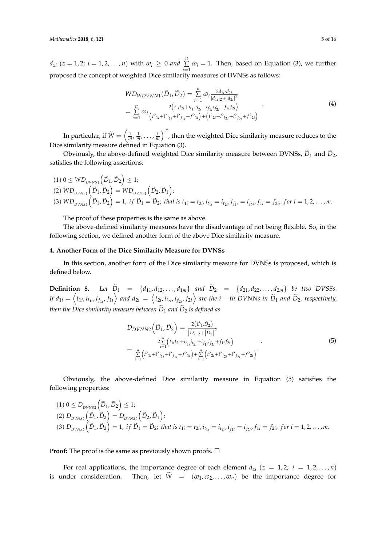$d_{zi}$  (*z* = 1, 2; *i* = 1, 2, . . . , *n*) with  $\varpi_i \geq 0$  and  $\sum_{i=1}^{n}$  $\sum_{i=1}$   $\varphi_i = 1$ . Then, based on Equation (3), we further proposed the concept of weighted Dice similarity measures of DVNSs as follows:

$$
WD_{WDVNN1}(\widetilde{D}_1, \widetilde{D}_2) = \sum_{i=1}^n \omega_i \frac{2d_{1i} \cdot d_{2i}}{|d_{1i}|_2 + |d_{2i}|^2} = \sum_{i=1}^n \omega_i \frac{2(t_{1i}t_{2i} + i_{t_{1i}} i_{t_{2i}} + i_{f_{1i}} i_{f_{2i}} + f_{1i} f_{2i})}{(t_{1i}^2 + t_{1i}^2 + t_{f_{1i}}^2 + t_{f_{1i}}^2) + (t_{2i}^2 + t_{t_{2i}}^2 + t_{f_{2i}}^2 + t_{f_{2i}}^2)}
$$
(4)

In particular, if  $\widetilde{W}=\left(\frac{1}{m},\frac{1}{m},\ldots,\frac{1}{m}\right)^T$ , then the weighted Dice similarity measure reduces to the Dice similarity measure defined in Equation (3).

Obviously, the above-defined weighted Dice similarity measure between DVNSs,  $\tilde{D}_1$  and  $\tilde{D}_2$ , satisfies the following assertions:

 $(1) 0 \leq WD_{DVNS1}(\tilde{D}_1, \tilde{D}_2) \leq 1;$  $(2) WD_{DVNS1} \left( \widetilde{D}_1, \widetilde{D}_2 \right) = WD_{DVNS1} \left( \widetilde{D}_2, \widetilde{D}_1 \right);$ (3)  $WD_{DVNS1}(\tilde{D}_1, \tilde{D}_2) = 1$ , if  $\tilde{D}_1 = \tilde{D}_2$ ; that is  $t_{1i} = t_{2i}$ ,  $i_{t_{1i}} = i_{t_{2i}}$ ,  $i_{f_{1i}} = i_{f_{2i}}$ ,  $f_{1i} = f_{2i}$ , for  $i = 1, 2, ..., m$ .

The proof of these properties is the same as above.

The above-defined similarity measures have the disadvantage of not being flexible. So, in the following section, we defined another form of the above Dice similarity measure.

# <span id="page-4-0"></span>**4. Another Form of the Dice Similarity Measure for DVNSs**

In this section, another form of the Dice similarity measure for DVNSs is proposed, which is defined below.

**Definition 8.** Let  $\tilde{D}_1$  = { $d_{11}, d_{12}, \ldots, d_{1m}$ } and  $\tilde{D}_2$  = { $d_{21}, d_{22}, \ldots, d_{2m}$ } *be two DVSSs.* If  $d_{1i}=\left\langle t_{1i},i_{t_{1i}},t_{f_{1i}},f_{1i}\right\rangle$  and  $d_{2i}=\left\langle t_{2i},i_{t_{2i}},i_{f_{2i}},f_{2i}\right\rangle$  are the  $i-th$  DVNNs in  $\widetilde{D}_1$  and  $\widetilde{D}_2$ , respectively, *then the Dice similarity measure between*  $\widetilde{D}_1$  *and*  $\widetilde{D}_2$  *is defined as* 

$$
D_{DVNN2}(\widetilde{D}_1, \widetilde{D}_2) = \frac{2(\widetilde{D}_1, \widetilde{D}_2)}{|\widetilde{D}_1|_2 + |\widetilde{D}_2|^2}
$$
  
= 
$$
\frac{2\sum\limits_{i=1}^{n} (t_{1i}t_{2i} + i_{t_{1i}}i_{t_{2i}} + i_{f_{1i}}i_{f_{2i}} + f_{1i}f_{2i})}{\sum\limits_{i=1}^{n} (t^2_{1i} + i^2 t_{t_{1i}} + i^2 f_{1i} + f^2 t_{t_{1i}}) + \sum\limits_{i=1}^{n} (t^2_{2i} + i^2 t_{t_{2i}} + i^2 f_{2i})}.
$$
 (5)

Obviously, the above-defined Dice similarity measure in Equation (5) satisfies the following properties:

$$
(1) \ 0 \le D_{DVNS2}(\tilde{D}_1, \tilde{D}_2) \le 1;
$$
\n
$$
(2) \ D_{DVNS2}(\tilde{D}_1, \tilde{D}_2) = D_{DVNS2}(\tilde{D}_2, \tilde{D}_1);
$$
\n
$$
(3) \ D_{DVNS2}(\tilde{D}_1, \tilde{D}_2) = 1, \text{ if } \tilde{D}_1 = \tilde{D}_2; \text{ that is } t_{1i} = t_{2i}, \dot{t}_{t_{1i}} = \dot{t}_{t_{2i}}, \dot{t}_{f_{1i}} = \dot{t}_{f_{2i}}, f_{1i} = f_{2i}, \text{ for } i = 1, 2, \dots, m.
$$

**Proof:** The proof is the same as previously shown proofs.  $\Box$ 

For real applications, the importance degree of each element  $d_{zi}$  ( $z = 1, 2; i = 1, 2, ..., n$ ) is under consideration. Then, let  $\widetilde{W} = (\varpi_1, \varpi_2, ..., \varpi_n)$  be the importance degree for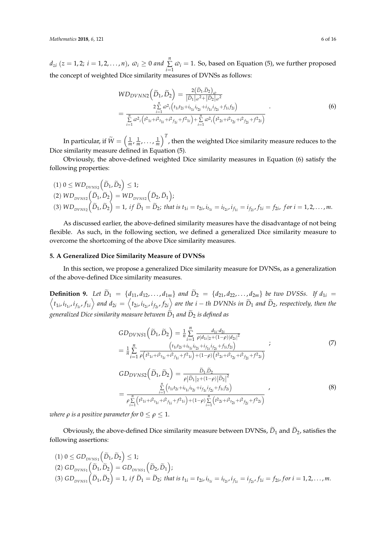$d_{zi}$  ( $z = 1, 2; i = 1, 2, ..., n$ ),  $\omega_i \geq 0$  and  $\sum_{i=1}^{n}$  $\sum_{i=1}$   $\varphi_i = 1$ . So, based on Equation (5), we further proposed the concept of weighted Dice similarity measures of DVNSs as follows:

$$
WD_{DVNN2}(\widetilde{D}_1, \widetilde{D}_2) = \frac{2(\widetilde{D}_1, \widetilde{D}_2)_{\omega}}{|\widetilde{D}_1|_{\omega}^2 + |\widetilde{D}_2|_{\omega}^2}
$$
  
= 
$$
\frac{2\sum\limits_{i=1}^n \omega^2_i (t_{1i}t_{2i} + i_{t_{1i}}i_{t_{2i}} + i_{f_{1i}}i_{f_{2i}} + f_{1i}f_{2i})}{\sum\limits_{i=1}^n \omega^2_i (t^2_{1i} + i^2_{t_{1i}} + i^2_{f_{1i}} + f^2_{1i}) + \sum\limits_{i=1}^n \omega^2_i (t^2_{2i} + i^2_{t_{2i}} + i^2_{f_{2i}} + f^2_{2i})}
$$
(6)

In particular, if  $\widetilde{W}=\left(\frac{1}{m},\frac{1}{m},\ldots,\frac{1}{m}\right)^T$ , then the weighted Dice similarity measure reduces to the Dice similarity measure defined in Equation (5).

Obviously, the above-defined weighted Dice similarity measures in Equation (6) satisfy the following properties:

$$
(1) 0 \le W D_{DVNS2} (\tilde{D}_1, \tilde{D}_2) \le 1;
$$
  
\n
$$
(2) W D_{DVNS2} (\tilde{D}_1, \tilde{D}_2) = W D_{DVNS2} (\tilde{D}_2, \tilde{D}_1);
$$
  
\n
$$
(3) W D_{DVNS2} (\tilde{D}_1, \tilde{D}_2) = 1, \text{ if } \tilde{D}_1 = \tilde{D}_2; \text{ that is } t_{1i} = t_{2i}, i_{t_{1i}} = i_{t_{2i}}, i_{f_{1i}} = i_{f_{2i}}, f_{1i} = f_{2i}, \text{ for } i = 1, 2, ..., m.
$$

As discussed earlier, the above-defined similarity measures have the disadvantage of not being flexible. As such, in the following section, we defined a generalized Dice similarity measure to overcome the shortcoming of the above Dice similarity measures.

### <span id="page-5-0"></span>**5. A Generalized Dice Similarity Measure of DVNSs**

In this section, we propose a generalized Dice similarity measure for DVNSs, as a generalization of the above-defined Dice similarity measures.

**Definition 9.** Let  $D_1 = \{d_{11}, d_{12},..., d_{1m}\}$  and  $D_2 = \{d_{21}, d_{22},..., d_{2m}\}$  be two DVSSs. If  $d_{1i} = \langle t_{1i}, i_{t_{1i}}, i_{f_{1i}}, f_{1i} \rangle$  and  $d_{2i} = \langle t_{2i}, i_{t_{2i}}, i_{f_{2i}}, f_{2i} \rangle$  are the  $i - th$  DVNNs in  $\tilde{D}_1$  and  $\tilde{D}_2$ , re *generalized Dice similarity measure between*  $\widetilde{D}_1$  *and*  $\widetilde{D}_2$  *is defined as* 

$$
GD_{DVNS1}(\tilde{D}_1, \tilde{D}_2) = \frac{1}{n} \sum_{i=1}^n \frac{d_{1i} \cdot d_{2i}}{\rho |d_{1i}|_2 + (1-\rho)|d_{2i}|^2}
$$
  
\n
$$
= \frac{1}{n} \sum_{i=1}^n \frac{\left(t_{1i}t_{2i} + i_{t_{1i}}i_{t_{2i}} + i_{f_{1i}}i_{t_{2i}} + f_{1i}f_{2i}\right)}{\rho \left(t^2_{1i} + t^2_{t_{1i}} + t^2_{f_{1i}} + f_{1i}f_{2i}\right) + (1-\rho)\left(t^2_{2i} + t^2_{t_{2i}} + t^2_{f_{2i}} + f_{2i}\right)}
$$
  
\n
$$
GD_{DVNS2}(\tilde{D}_1, \tilde{D}_2) = \frac{\tilde{D}_1 \tilde{D}_2}{\rho |\tilde{D}_1|_2 + (1-\rho)|\tilde{D}_2|^2}
$$
  
\n
$$
= \frac{\sum_{i=1}^n \left(t_{1i}t_{2i} + i_{t_{1i}}i_{t_{2i}} + i_{f_{1i}}i_{f_{2i}} + f_{1i}f_{2i}\right)}{\rho \sum_{i=1}^n \left(t^2_{1i} + t^2_{t_{1i}} + t^2_{f_{1i}} + f_{1i}f_{2i}\right) + (1-\rho)\sum_{i=1}^n \left(t^2_{2i} + t^2_{t_{2i}} + t^2_{f_{2i}} + f_{2i}\right)}
$$
\n(8)

*where*  $\rho$  *is a positive parameter for*  $0 \leq \rho \leq 1$ .

Obviously, the above-defined Dice similarity measure between DVNSs,  $\widetilde{D}_1$  and  $\widetilde{D}_2$ , satisfies the following assertions:

$$
(1) \ 0 \leq GD_{DVNS1}(\tilde{D}_1, \tilde{D}_2) \leq 1;
$$
\n
$$
(2) \ GD_{DVNS1}(\tilde{D}_1, \tilde{D}_2) = GD_{DVNS1}(\tilde{D}_2, \tilde{D}_1);
$$
\n
$$
(3) \ GD_{DVNS1}(\tilde{D}_1, \tilde{D}_2) = 1, \ if \ \tilde{D}_1 = \tilde{D}_2; \ that \ is \ t_{1i} = t_{2i}, \ i_{t_{1i}} = i_{t_{2i}}, \ i_{f_{1i}} = i_{f_{2i}}, \ f_{1i} = f_{2i}, \ for \ i = 1, 2, \ldots, m.
$$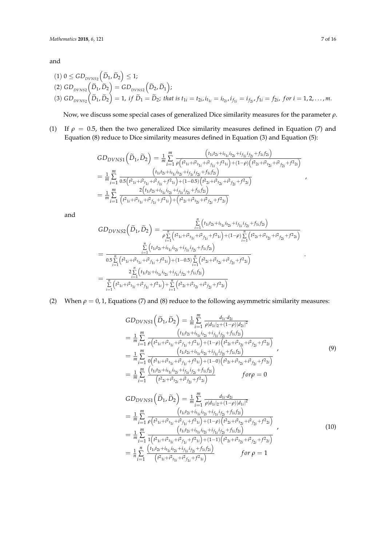and

$$
(1) \ 0 \leq GD_{DVNS2}(\tilde{D}_1, \tilde{D}_2) \leq 1; (2) \ GD_{DVNS2}(\tilde{D}_1, \tilde{D}_2) = GD_{DVNS2}(\tilde{D}_2, \tilde{D}_1); (3) \ GD_{DVNS2}(\tilde{D}_1, \tilde{D}_2) = 1, \ if \ \tilde{D}_1 = \tilde{D}_2; \ that \ is \ t_{1i} = t_{2i}, \ i_{t_{1i}} = i_{t_{2i}}, \ i_{f_{1i}} = i_{f_{2i}}, \ f_{1i} = f_{2i}, \ for \ i = 1, 2, ..., m.
$$

Now, we discuss some special cases of generalized Dice similarity measures for the parameter *ρ*.

(1) If  $\rho = 0.5$ , then the two generalized Dice similarity measures defined in Equation (7) and Equation (8) reduce to Dice similarity measures defined in Equation (3) and Equation (5):

$$
GD_{DVNS1}(\tilde{D}_1, \tilde{D}_2) = \frac{1}{m} \sum_{i=1}^m \frac{(t_{1i}t_{2i}+i_{t_{1i}}i_{t_{2i}}+i_{f_{1i}}i_{f_{2i}}+f_{1i}f_{2i})}{\rho(t_{1i}+i_{t_{1i}}+i_{t_{1i}}+i_{f_{1i}}+f_{1i})+(1-\rho)(t_{2i}+i_{t_{2i}}+i_{f_{2i}}+f_{2i})}
$$
  
\n
$$
= \frac{1}{m} \sum_{i=1}^m \frac{(t_{1i}t_{2i}+i_{t_{1i}}i_{t_{2i}}+i_{f_{1i}}i_{f_{2i}}+f_{1i}f_{2i})}{0.5(t_{1i}+i_{t_{1i}}+i_{t_{1i}}+i_{f_{1i}}+f_{1i})+(1-0.5)(t_{2i}+i_{t_{2i}}+i_{f_{2i}}+f_{2i})}
$$
  
\n
$$
= \frac{1}{m} \sum_{i=1}^m \frac{2(t_{1i}t_{2i}+i_{t_{1i}}i_{t_{2i}}+i_{f_{1i}}i_{f_{2i}}+f_{1i}f_{2i})}{(t_{1i}+i_{t_{1i}}+i_{t_{1i}}+i_{f_{1i}}+f_{1i})+(1-0.5)(t_{t_{2i}}+i_{t_{2i}}+i_{f_{2i}}+f_{2i})}
$$

and

$$
GD_{DVNS2}(\tilde{D}_1, \tilde{D}_2) = \frac{\sum\limits_{i=1}^n (t_{1i}t_{2i}+i_{t_{1i}}i_{t_{2i}}+i_{f_{1i}}i_{f_{2i}}+f_{1i}f_{2i})}{\rho \sum\limits_{i=1}^n (t^2_{1i}+t^2_{t_{1i}}+t^2_{f_{1i}}+f^2_{1i})+(1-\rho) \sum\limits_{i=1}^n (t^2_{2i}+t^2_{t_{2i}}+t^2_{f_{2i}}+f^2_{2i})}
$$
  

$$
= \frac{\sum\limits_{i=1}^n (t_{1i}t_{2i}+i_{t_{1i}}i_{t_{2i}}+i_{f_{1i}}i_{f_{2i}}+f_{1i}f_{2i})}{0.5\sum\limits_{i=1}^n (t^2_{1i}+t^2_{t_{1i}}+t^2_{f_{1i}}+f^2_{1i})+(1-0.5)\sum\limits_{i=1}^n (t^2_{2i}+t^2_{t_{2i}}+t^2_{f_{2i}}+f^2_{2i})}
$$
  

$$
= \frac{2\sum\limits_{i=1}^n (t_{1i}t_{2i}+i_{t_{1i}}i_{t_{2i}}+i_{f_{1i}}i_{f_{2i}}+f_{1i}f_{2i})}{\sum\limits_{i=1}^n (t^2_{1i}+t^2_{t_{1i}}+t^2_{f_{1i}}+f^2_{1i})+\sum\limits_{i=1}^n (t^2_{2i}+t^2_{t_{2i}}+t^2_{f_{2i}}+f^2_{2i})}
$$

(2) When  $\rho = 0, 1$ , Equations (7) and (8) reduce to the following asymmetric similarity measures:

$$
GD_{DVNS1}(\tilde{D}_1, \tilde{D}_2) = \frac{1}{m} \sum_{i=1}^{m} \frac{d_{1i} \cdot d_{2i}}{\rho |d_{1i}|_2 + (1-\rho)|d_{2i}|^2}
$$
  
\n
$$
= \frac{1}{m} \sum_{i=1}^{m} \frac{\left(t_{1i}t_{2i} + i_{t_{1i}}i_{t_{2i}} + i_{f_{1i}}i_{f_{2i}} + f_{1i}f_{2i}\right)}{\rho \left(t_{1i}t_{2i} + i_{t_{1i}} + i_{t_{2i}} + f_{1i}\right) + (1-\rho)\left(t_{2i}t_{2i} + i_{t_{2i}} + i_{f_{2i}} + f_{2i}\right)}
$$
  
\n
$$
= \frac{1}{m} \sum_{i=1}^{m} \frac{\left(t_{1i}t_{2i} + i_{t_{1i}}i_{t_{2i}} + i_{f_{1i}}i_{f_{2i}} + f_{1i}f_{2i}\right)}{\left(t_{1i}t_{2i} + i_{t_{1i}} + i_{t_{2i}} + f_{1i}\right) + (1-\rho)\left(t_{2i}t_{2i} + i_{t_{2i}} + i_{f_{2i}} + f_{2i}\right)}
$$
  
\n
$$
= \frac{1}{m} \sum_{i=1}^{m} \frac{\left(t_{1i}t_{2i} + i_{t_{1i}}i_{t_{2i}} + i_{f_{1i}}i_{f_{2i}} + f_{1i}f_{2i}\right)}{\left(t_{2i}t_{2i} + i_{t_{2i}} + i_{t_{2i}} + f_{1i}\right)}
$$
 for  $\rho = 0$ 

$$
GD_{DVNS1}(\tilde{D}_1, \tilde{D}_2) = \frac{1}{m} \sum_{i=1}^{m} \frac{d_{1i} \cdot d_{2i}}{\rho |d_{1i}|_2 + (1-\rho)|d_{1i}|^2}
$$
  
\n
$$
= \frac{1}{m} \sum_{i=1}^{m} \frac{\left(t_{1i}t_{2i} + i_{t_{1i}}i_{t_{2i}} + t_{f_{1i}}i_{t_{2i}} + t_{1i}t_{2i}\right)}{\rho \left(t_{1i}t_{2i} + t_{t_{1i}} + t_{t_{2i}} + t_{1i}\right) + (1-\rho)\left(t_{2i}t_{2i} + t_{t_{2i}} + t_{t_{2i}} + t_{2i}\right)}
$$
  
\n
$$
= \frac{1}{m} \sum_{i=1}^{m} \frac{\left(t_{1i}t_{2i} + i_{t_{1i}}i_{t_{2i}} + t_{f_{1i}}i_{t_{2i}} + t_{f_{1i}}i_{t_{2i}} + t_{f_{1i}}t_{t_{2i}}\right)}{\left(t_{1i}t_{2i} + t_{t_{1i}} + t_{t_{1i}} + t_{t_{1i}} + t_{t_{1i}} + t_{t_{1i}}\right) + (1-1)\left(t_{2i} + t_{t_{2i}} + t_{t_{2i}} + t_{t_{2i}}\right)}
$$
  
\n
$$
= \frac{1}{n} \sum_{i=1}^{n} \frac{\left(t_{1i}t_{2i} + i_{t_{1i}}i_{t_{2i}} + t_{f_{1i}}i_{t_{2i}} + t_{1i}t_{2i}\right)}{\left(t_{1i}t_{2i} + t_{t_{1i}} + t_{t_{1i}} + t_{t_{1i}} + t_{t_{1i}}\right)} \qquad \text{for } \rho = 1
$$

.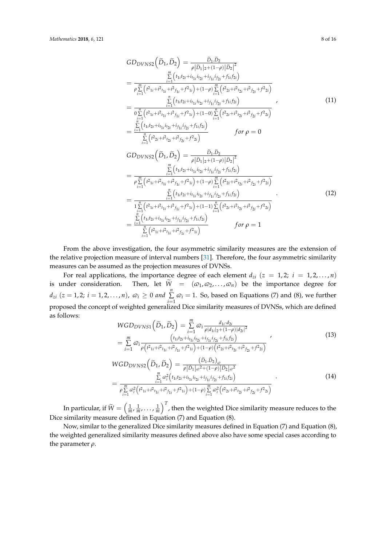$$
GD_{DVNS2}(\tilde{D}_{1}, \tilde{D}_{2}) = \frac{\tilde{D}_{1}.\tilde{D}_{2}}{\rho |\tilde{D}_{1}|_{2} + (1-\rho)|\tilde{D}_{2}|^{2}}
$$
  
\n
$$
= \frac{\sum_{i=1}^{m} (t_{1i}t_{2i} + i_{t_{1i}}i_{t_{2i}} + i_{t_{1i}}i_{t_{2i}} + f_{1i}f_{2i})}{\rho \sum_{i=1}^{m} (t^{2}t_{1i} + i^{2}t_{1i} + t^{2}t_{1i} + t^{2}t_{1i}) + (1-\rho) \sum_{i=1}^{m} (t^{2}t_{2i} + i^{2}t_{2i} + t^{2}t_{2i})}
$$
  
\n
$$
= \frac{\sum_{i=1}^{m} (t_{1i}t_{2i} + i_{t_{1i}}i_{t_{2i}} + i_{t_{1i}}i_{t_{2i}} + f_{1i}f_{2i})}{0 \sum_{i=1}^{m} (t^{2}t_{1i} + i^{2}t_{1i} + t^{2}t_{1i}) + (1-0) \sum_{i=1}^{n} (t^{2}t_{2i} + i^{2}t_{2i} + t^{2}t_{2i})}
$$
  
\n
$$
= \frac{\sum_{i=1}^{m} (t_{1i}t_{2i} + i_{t_{1i}}i_{t_{2i}} + i_{t_{1i}}i_{t_{2i}} + f_{1i}f_{2i})}{\sum_{i=1}^{m} (t^{2}t_{2i} + i^{2}t_{2i} + t^{2}t_{2i}) + f_{1i}f_{2i}}
$$
  
\n
$$
GDD_{VNS2}(\tilde{D}_{1}, \tilde{D}_{2}) = \frac{\tilde{D}_{1}.\tilde{D}_{2}}{\rho |\tilde{D}_{1}|_{2} + (1-\rho)|\tilde{D}_{2}|^{2}}
$$
  
\n
$$
= \frac{\sum_{i=1}^{m} (t_{1i}t_{2i} + i_{t_{1i}}i_{t_{2i}} + i_{t_{1i}}i_{t_{2i}} + f_{1i}f_{2i})}{\rho \sum_{i=1}^{m} (t^{2}t_{1i} + i^{2}t_{1i} + t^{2}t_{1i}) + (1-\rho) \sum_{i=1}^{m}
$$

$$
= \frac{\sum\limits_{i=1}^{P} (t_{1i} + i_{1i} + f_{1i} + f_{1i}) + (1 - P) \sum\limits_{i=1}^{P} (t_{2i} + i_{2i} + f_{2i} + f_{2i})}{\frac{\sum\limits_{i=1}^{n} (t_{1i}t_{2i} + i_{1i}t_{1i} + f_{2i} + f_{1i}f_{2i} + f_{1i}f_{2i})}{\sum\limits_{i=1}^{n} (t_{1i} + i^2 t_{1i} + i^2 f_{1i} + f_{1i} + f_{1i}) + (1 - 1) \sum\limits_{i=1}^{n} (t^2_{2i} + i^2 t_{2i} + i^2 f_{2i} + f_{2i})}
$$
\n
$$
= \frac{\sum\limits_{i=1}^{n} (t_{1i}t_{2i} + i_{1i}t_{1i} + i_{2i} + f_{1i}f_{2i} + f_{1i}f_{2i})}{\sum\limits_{i=1}^{n} (t^2_{1i} + i^2 t_{1i} + i^2 f_{1i} + f_{1i})}
$$
\nfor  $\rho = 1$ 

From the above investigation, the four asymmetric similarity measures are the extension of the relative projection measure of interval numbers [\[31\]](#page-15-3). Therefore, the four asymmetric similarity measures can be assumed as the projection measures of DVNSs.

For real applications, the importance degree of each element  $d_{zi}$  ( $z = 1, 2; i = 1, 2, ..., n$ ) is under consideration. Then, let  $\widetilde{W} = (\varpi_1, \varpi_2, ..., \varpi_n)$  be the importance degree for  $d_{zi}$  ( $z = 1, 2; i = 1, 2, ..., n$ ),  $\varpi_i \geq 0$  and  $\sum_{i=1}^{n}$  $\sum_{i=1}$   $\varpi_i$  = 1. So, based on Equations (7) and (8), we further proposed the concept of weighted generalized Dice similarity measures of DVNSs, which are defined as follows:

$$
WGD_{DVNS1}(\tilde{D}_1, \tilde{D}_2) = \sum_{i=1}^{m} \omega_i \frac{d_{1i} \cdot d_{2i}}{\rho |d_{1i}|_2 + (1-\rho)|d_{2i}|^2}
$$
  
= 
$$
\sum_{i=1}^{m} \omega_i \frac{\left(t_{1i}t_{2i} + i_{t_{1i}}i_{t_{2i}} + i_{f_{1i}}i_{f_{2i}} + f_{1i}f_{2i}\right)}{\rho \left(t^2_{1i} + t^2_{1i} + t^2_{1i} + f_{1i}^2\right) + (1-\rho)\left(t^2_{2i} + t^2_{1i} + t^2_{1i} + f_{2i}^2\right)}
$$
 (13)

$$
WGD_{DVNS2}(\tilde{D}_1, \tilde{D}_2) = \frac{(\tilde{D}_1, \tilde{D}_2)_{\tilde{\omega}}}{\rho |\tilde{D}_1|_{\tilde{\omega}}^2 + (1-\rho)|\tilde{D}_2|_{\tilde{\omega}}^2}
$$
  
= 
$$
\frac{\sum_{i=1}^m \tilde{\omega}_i^2 (t_{1i}t_{2i} + i_{t_{1i}}i_{t_{2i}} + j_{t_{1i}}j_{t_{2i}} + f_{1i}f_{2i})}{\rho \sum_{i=1}^m \tilde{\omega}_i^2 (t_{1i} + i^2 t_{1i} + i^2 f_{1i} + f_{1i}) + (1-\rho) \sum_{i=1}^m \tilde{\omega}_i^2 (t_{2i} + i^2 t_{2i} + i^2 f_{2i} + f_{2i})}
$$
(14)

In particular, if  $\widetilde{W}=\left(\frac{1}{m},\frac{1}{m},\ldots,\frac{1}{m}\right)^T$ , then the weighted Dice similarity measure reduces to the Dice similarity measure defined in Equation (7) and Equation (8).

Now, similar to the generalized Dice similarity measures defined in Equation (7) and Equation (8), the weighted generalized similarity measures defined above also have some special cases according to the parameter *ρ*.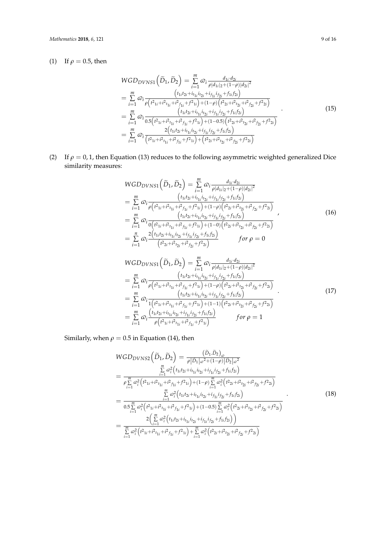# (1) If  $\rho = 0.5$ , then

$$
WGD_{DVNS1}(\tilde{D}_1, \tilde{D}_2) = \sum_{i=1}^m \omega_i \frac{d_{1i} \cdot d_{2i}}{\rho |d_{1i}|_2 + (1-\rho)|d_{2i}|^2}
$$
  
\n
$$
= \sum_{i=1}^m \omega_i \frac{(t_{1i}t_{2i} + i_{t_{1i}}i_{t_{2i}} + j_{1i}j_{t_{2i}} + f_{1i}f_{2i})}{\rho(t_{1i} + i_{t_{1i}} + i_{t_{1i}} + i_{t_{1i}} + f_{1i}) + (1-\rho)\left(t_{2i} + i_{t_{2i}} + i_{t_{2i}} + f_{2i}\right)}
$$
  
\n
$$
= \sum_{i=1}^m \omega_i \frac{(t_{1i}t_{2i} + i_{t_{1i}}i_{t_{2i}} + j_{1i}j_{t_{2i}} + f_{1i}j_{t_{2i}})}{(15)}
$$
  
\n
$$
= \sum_{i=1}^m \omega_i \frac{2(t_{1i}t_{2i} + i_{t_{1i}}i_{t_{2i}} + j_{1i}j_{t_{2i}} + f_{1i}j_{t_{2i}})}{2(t_{1i}t_{2i} + i_{t_{1i}}i_{t_{2i}} + j_{1i}j_{t_{2i}} + f_{1i}j_{t_{2i}})}
$$
  
\n
$$
= \sum_{i=1}^m \omega_i \frac{2(t_{1i}t_{2i} + i_{t_{1i}}i_{t_{2i}} + j_{t_{1i}}j_{t_{2i}} + f_{1i}j_{t_{2i}})}{(t_{1i}t_{1i} + i_{t_{1i}} + i_{t_{1i}} + f_{1i}) + (t_{2i} + i_{t_{2i}} + i_{t_{2i}} + f_{2i})}
$$
 (15)

(2) If  $\rho = 0$ , 1, then Equation (13) reduces to the following asymmetric weighted generalized Dice similarity measures:

$$
WGD_{DVNS1}(\tilde{D}_1, \tilde{D}_2) = \sum_{i=1}^{m} \omega_i \frac{d_{1i} \cdot d_{2i}}{\rho |d_{1i}|_2 + (1-\rho)|d_{2i}|^2}
$$
  
\n
$$
= \sum_{i=1}^{m} \omega_i \frac{\left(t_{1i}t_{2i} + i_{t_{1i}}i_{t_{2i}} + i_{f_{1i}}i_{t_{2i}} + f_{1i}f_{2i}\right)}{\rho \left(t_{1i} + t_{1i} + t_{1i} + t_{1i} + f_{1i} + f_{1i}\right) + (1-\rho)\left(t_{2i} + t_{2i} + t_{2i} + f_{2i}\right)}
$$
  
\n
$$
= \sum_{i=1}^{m} \omega_i \frac{\left(t_{1i}t_{2i} + i_{t_{1i}}i_{t_{2i}} + i_{f_{1i}}i_{t_{2i}} + f_{1i}f_{2i}\right)}{\left(t_{1i}t_{2i} + i_{t_{1i}} + t_{1i} + f_{1i}\right) + (1-\rho)\left(t_{2i} + t_{1i} + t_{1i} + f_{1i}\right)}
$$
  
\n
$$
= \sum_{i=1}^{n} \omega_i \frac{2\left(t_{1i}t_{2i} + i_{t_{1i}}i_{t_{2i}} + i_{f_{1i}}i_{t_{2i}} + f_{1i}f_{2i}\right)}{\left(t_{2i} + t_{1i} + t_{1i} + t_{1i} + f_{1i}\right)} \qquad \text{for } \rho = 0
$$
  
\n(16)

$$
WGD_{DVNS1}(\tilde{D}_1, \tilde{D}_2) = \sum_{i=1}^m \omega_i \frac{d_{1i} \cdot d_{2i}}{\rho |d_{1i}|_2 + (1-\rho)|d_{2i}|^2}
$$
  
\n
$$
= \sum_{i=1}^m \omega_i \frac{(t_{1i}t_{2i} + i_{t_{1i}}i_{t_{2i}} + i_{f_{1i}}i_{f_{2i}} + f_{1i}f_{2i})}{\rho (t^2_{1i} + t^2_{1i} + t^2_{1i} + t^2_{1i}) + (1-\rho) (t^2_{2i} + t^2_{1i} + t^2_{1i}) + (1-\rho) (t^2_{1i} + t^2_{1i} + t^2_{1i})}
$$
  
\n
$$
= \sum_{i=1}^m \omega_i \frac{(t_{1i}t_{2i} + i_{t_{1i}}i_{t_{2i}} + i_{f_{1i}}i_{f_{2i}} + f_{1i}f_{2i})}{1(t^2_{1i} + t^2_{1i} + t^2_{1i} + t^2_{1i}) + (1-1)(t^2_{2i} + t^2_{1i} + t^2_{1i} + t^2_{2i})}
$$
  
\n
$$
= \sum_{i=1}^m \omega_i \frac{(t_{1i}t_{2i} + i_{t_{1i}}i_{t_{2i}} + i_{f_{1i}}i_{f_{2i}} + f_{1i}f_{2i})}{\rho (t^2_{1i} + t^2_{1i} + t^2_{1i} + t^2_{1i})}
$$
 for  $\rho = 1$ 

Similarly, when  $\rho = 0.5$  in Equation (14), then

$$
WGD_{DVNS2}(\tilde{D}_1, \tilde{D}_2) = \frac{(\tilde{D}_1, \tilde{D}_2)_{\varpi}}{\rho |\tilde{D}_1|_{\varpi^2 + (1-\rho)}|\tilde{D}_2|_{\varpi^2}}
$$
  
\n
$$
= \frac{\sum\limits_{i=1}^m \alpha_i^2 (t_{1i}t_{2i} + i_{t_{1i}}i_{t_{2i}} + i_{f_{1i}}i_{f_{2i}} + f_{1i}f_{2i})}{\rho \sum\limits_{i=1}^m \alpha_i^2 (t_{2i} + i^2t_{1i} + i^2t_{1i} + f_{2i}) + (1-\rho) \sum\limits_{i=1}^m \alpha_i^2 (t_{2i} + i^2t_{2i} + i^2t_{2i} + f_{2i})}
$$
  
\n
$$
= \frac{\sum\limits_{i=1}^m \alpha_i^2 (t_{1i}t_{2i} + i_{t_{1i}}i_{t_{2i}} + i_{f_{1i}}i_{f_{2i}} + f_{1i}f_{2i})}{0.5 \sum\limits_{i=1}^m \alpha_i^2 (t_{2i} + i^2t_{1i} + i^2t_{1i} + f_{2i}) + (1-0.5) \sum\limits_{i=1}^m \alpha_i^2 (t_{2i} + i^2t_{2i} + i^2t_{2i} + f_{2i})}
$$
  
\n
$$
= \frac{2(\sum\limits_{i=1}^m \alpha_i^2 (t_{1i}t_{2i} + i_{t_{1i}}i_{t_{2i}} + i_{f_{1i}}i_{f_{2i}} + f_{1i}f_{2i}))}{\sum\limits_{i=1}^m \alpha_i^2 (t_{2i} + i^2t_{1i} + i^2t_{1i} + f_{2i}) + \sum\limits_{i=1}^m \alpha_i^2 (t_{2i} + i^2t_{2i} + i^2t_{2i} + f_{2i})}
$$
(18)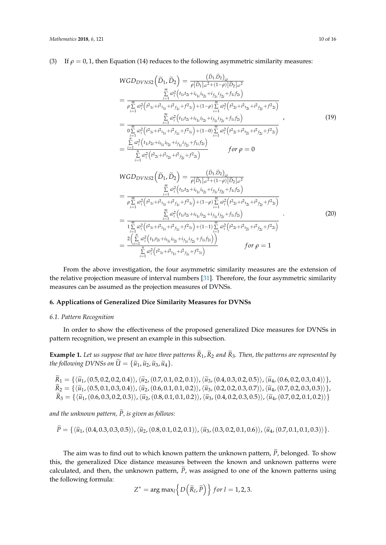# (3) If  $\rho = 0, 1$ , then Equation (14) reduces to the following asymmetric similarity measures:

$$
WGD_{DVNS2}(\tilde{D}_1, \tilde{D}_2) = \frac{(\tilde{D}_1, \tilde{D}_2)_{\omega}}{\rho |\tilde{D}_1|_{\omega^2 + (1-\rho)} |\tilde{D}_2|_{\omega^2}}
$$
  
\n
$$
= \frac{\sum\limits_{i=1}^m \alpha_i^2 (t_{1i}t_{2i} + i_{t_{1i}}i_{t_{2i}} + i_{f_{1i}}i_{f_{2i}} + f_{1i}f_{2i})}{\rho \sum\limits_{i=1}^m \alpha_i^2 (t_{2i} + i^2 t_{t_{1i}} + i^2 t_{t_{1i}} + f_{2i}) + (1-\rho) \sum\limits_{i=1}^m \alpha_i^2 (t_{2i} + i^2 t_{t_{2i}} + i^2 t_{t_{2i}} + f_{2i})}
$$
  
\n
$$
= \frac{\sum\limits_{i=1}^m \alpha_i^2 (t_{1i}t_{2i} + i_{t_{1i}}i_{t_{2i}} + i_{f_{1i}}i_{f_{2i}} + f_{1i}f_{2i})}{\sigma \sum\limits_{i=1}^m \alpha_i^2 (t_{2i} + i^2 t_{t_{1i}} + i^2 t_{t_{1i}} + f_{2i}) + (1-\sigma) \sum\limits_{i=1}^m \alpha_i^2 (t_{2i} + i^2 t_{t_{2i}} + i^2 t_{t_{2i}} + f_{2i})}
$$
  
\n
$$
= \frac{\sum\limits_{i=1}^n \alpha_i^2 (t_{1i}t_{2i} + i_{t_{1i}}i_{t_{2i}} + i_{f_{1i}}i_{f_{2i}} + f_{1i}f_{2i})}{\sum\limits_{i=1}^n \alpha_i^2 (t_{2i} + i^2 t_{t_{2i}} + i^2 t_{t_{2i}} + f_{2i})}
$$
 for  $\rho = 0$ 

$$
WGD_{DVNS2}(\tilde{D}_1, \tilde{D}_2) = \frac{(\tilde{D}_1, \tilde{D}_2)_{\omega}}{\rho |\tilde{D}_1|_{\omega^2 + (1-\rho)}| \tilde{D}_2|_{\omega^2}}
$$
  
\n
$$
= \frac{\sum\limits_{i=1}^m \omega_i^2 (t_{1i}t_{2i} + i_{t_{1i}}i_{t_{2i}} + i_{f_{1i}}i_{t_{2i}} + f_{1i}f_{2i})}{\sum\limits_{i=1}^m \omega_i^2 (t_{2i} + i^2 t_{1i} + i^2 t_{1i} + f_{2i}) + (1-\rho)\sum\limits_{i=1}^m \omega_i^2 (t_{2i} + i^2 t_{2i} + i^2 t_{2i} + f_{2i})}
$$
  
\n
$$
= \frac{\sum\limits_{i=1}^m \omega_i^2 (t_{1i}t_{2i} + i_{t_{1i}}i_{t_{2i}} + i_{f_{1i}}i_{t_{2i}} + f_{1i}f_{2i})}{\sum\limits_{i=1}^m \omega_i^2 (t_{1i}^2 + i^2 t_{1i} + i^2 t_{1i} + f_{2i}) + (1-1)\sum\limits_{i=1}^m \omega_i^2 (t_{2i}^2 + i^2 t_{2i} + i^2 t_{2i} + f_{2i})}
$$
  
\n
$$
= \frac{2(\sum\limits_{i=1}^n \omega_i^2 (t_{1i}t_{2i} + i_{t_{1i}}i_{t_{2i}} + i_{f_{1i}}i_{t_{2i}} + f_{1i}f_{2i}))}{\sum\limits_{i=1}^n \omega_i^2 (t_{1i}^2 + i^2 t_{1i} + i^2 t_{1i} + f_{2i})}
$$
 for  $\rho = 1$ 

From the above investigation, the four asymmetric similarity measures are the extension of the relative projection measure of interval numbers [\[31\]](#page-15-3). Therefore, the four asymmetric similarity measures can be assumed as the projection measures of DVNSs.

# <span id="page-9-0"></span>**6. Applications of Generalized Dice Similarity Measures for DVNSs**

### *6.1. Pattern Recognition*

In order to show the effectiveness of the proposed generalized Dice measures for DVNSs in pattern recognition, we present an example in this subsection.

**Example 1.** Let us suppose that we have three patterns  $\widetilde{R}_1$ ,  $\widetilde{R}_2$  and  $\widetilde{R}_3$ . Then, the patterns are represented by *the following DVNSs on*  $\widetilde{U} = {\widetilde{u}_1, \widetilde{u}_2, \widetilde{u}_3, \widetilde{u}_4}.$ 

 $\widetilde{R}_1 = \{\langle \widetilde{u}_1,(0.5, 0.2, 0.2, 0.4)\rangle, \langle \widetilde{u}_2,(0.7, 0.1, 0.2, 0.1)\rangle, \langle \widetilde{u}_3,(0.4, 0.3, 0.2, 0.5)\rangle, \langle \widetilde{u}_4,(0.6, 0.2, 0.3, 0.4)\rangle\},$  $\widetilde{R}_2 = {\langle\langle \widetilde{u}_1,(0.5, 0.1, 0.3, 0.4)\rangle}, \langle \widetilde{u}_2,(0.6, 0.1, 0.1, 0.2)\rangle, \langle \widetilde{u}_3,(0.2, 0.2, 0.3, 0.7)\rangle, \langle \widetilde{u}_4,(0.7, 0.2, 0.3, 0.3)\rangle},$  $\widetilde{R}_3 = \{\langle \widetilde{u}_1, (0.6, 0.3, 0.2, 0.3)\rangle, \langle \widetilde{u}_2, (0.8, 0.1, 0.1, 0.2)\rangle, \langle \widetilde{u}_3, (0.4, 0.2, 0.3, 0.5)\rangle, \langle \widetilde{u}_4, (0.7, 0.2, 0.1, 0.2)\rangle\}$ 

*and the unknown pattern, P, is given as follows:* <sup>e</sup>

$$
P = \{\langle \tilde{u}_1, (0.4, 0.3, 0.3, 0.5) \rangle, \langle \tilde{u}_2, (0.8, 0.1, 0.2, 0.1) \rangle, \langle \tilde{u}_3, (0.3, 0.2, 0.1, 0.6) \rangle, \langle \tilde{u}_4, (0.7, 0.1, 0.1, 0.3) \rangle\}.
$$

The aim was to find out to which known pattern the unknown pattern,  $\tilde{P}$ , belonged. To show this, the generalized Dice distance measures between the known and unknown patterns were calculated, and then, the unknown pattern,  $\tilde{P}$ , was assigned to one of the known patterns using the following formula:

$$
Z^* = \arg \max_l \left\{ D\left(\widetilde{R}_l, \widetilde{P}\right) \right\} \text{ for } l = 1, 2, 3.
$$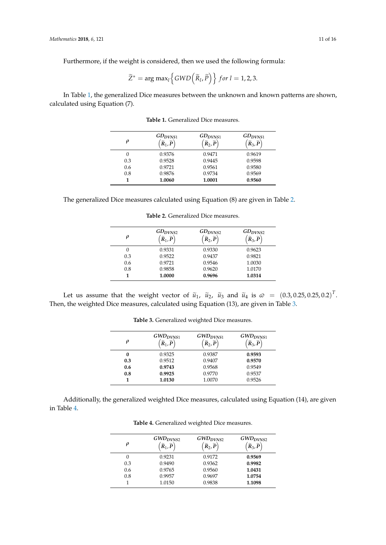Furthermore, if the weight is considered, then we used the following formula:

$$
\widetilde{Z}^* = \arg \max_l \left\{ GWD\left(\widetilde{R}_l, \widetilde{P}\right) \right\} \text{ for } l = 1, 2, 3.
$$

<span id="page-10-0"></span>In Table [1,](#page-10-0) the generalized Dice measures between the unknown and known patterns are shown, calculated using Equation (7).

| ρ   | $GD_{DVNS1}$<br>$\widetilde{R}_1, \widetilde{P}$ | $GD_{D VNS1}$<br>$\widetilde{R}_2, \widetilde{P}$ | $GD_{D VNS1}$<br>$\widetilde{R}_3$ , $\widetilde{P}$ |
|-----|--------------------------------------------------|---------------------------------------------------|------------------------------------------------------|
| 0   | 0.9376                                           | 0.9471                                            | 0.9619                                               |
| 0.3 | 0.9528                                           | 0.9445                                            | 0.9598                                               |
| 0.6 | 0.9721                                           | 0.9561                                            | 0.9580                                               |
| 0.8 | 0.9876                                           | 0.9734                                            | 0.9569                                               |
|     | 1.0060                                           | 1.0001                                            | 0.9560                                               |

**Table 1.** Generalized Dice measures.

<span id="page-10-1"></span>

| The generalized Dice measures calculated using Equation (8) are given in Table 2. |  |  |
|-----------------------------------------------------------------------------------|--|--|
|                                                                                   |  |  |

| 0   | $GD_{DVNS2}$<br>$\widetilde{R}_1, \widetilde{P}$ | $GD_{D VNS2}$<br>$\widetilde{R}_2, \widetilde{P}$ | $GD_{DVNS2}$<br>$\widetilde{R}_3$ , $\widetilde{P}$ |
|-----|--------------------------------------------------|---------------------------------------------------|-----------------------------------------------------|
| 0   | 0.9331                                           | 0.9330                                            | 0.9623                                              |
| 0.3 | 0.9522                                           | 0.9437                                            | 0.9821                                              |
| 0.6 | 0.9721                                           | 0.9546                                            | 1.0030                                              |
| 0.8 | 0.9858                                           | 0.9620                                            | 1.0170                                              |
| 1   | 1.0000                                           | 0.9696                                            | 1.0314                                              |

**Table 2.** Generalized Dice measures.

<span id="page-10-2"></span>Let us assume that the weight vector of  $\tilde{u}_1$ ,  $\tilde{u}_2$ ,  $\tilde{u}_3$  and  $\tilde{u}_4$  is  $\varnothing = (0.3, 0.25, 0.25, 0.2)^T$ . Then, the weighted Dice measures, calculated using Equation (13), are given in Table [3.](#page-10-2)

| ρ   | $GWD_{DVNS1}$<br>$\widetilde{R}_1, \widetilde{P}$ | $GWD_{DVNS1}$<br>$\widetilde{R}_2, \widetilde{P}$ | $GWD_{DVNS1}$<br>$\widetilde{R}_3$ , $\widetilde{P}$ |
|-----|---------------------------------------------------|---------------------------------------------------|------------------------------------------------------|
| 0   | 0.9325                                            | 0.9387                                            | 0.9593                                               |
| 0.3 | 0.9512                                            | 0.9407                                            | 0.9570                                               |
| 0.6 | 0.9743                                            | 0.9568                                            | 0.9549                                               |
| 0.8 | 0.9925                                            | 0.9770                                            | 0.9537                                               |
|     | 1.0130                                            | 1.0070                                            | 0.9526                                               |

**Table 3.** Generalized weighted Dice measures.

<span id="page-10-3"></span>Additionally, the generalized weighted Dice measures, calculated using Equation (14), are given in Table [4.](#page-10-3)

| ρ   | $GWD_{D VNS2}$<br>$\widetilde{R}_1, \widetilde{P}$ | $GWD_{D VNS2}$<br>$\widetilde{R}_2, \widetilde{P}$ | $GWD_{DVNS2}$<br>$\widetilde{R}_3,\widetilde{P}$ |
|-----|----------------------------------------------------|----------------------------------------------------|--------------------------------------------------|
|     | 0.9231                                             | 0.9172                                             | 0.9569                                           |
| 0.3 | 0.9490                                             | 0.9362                                             | 0.9982                                           |
| 0.6 | 0.9765                                             | 0.9560                                             | 1.0431                                           |
| 0.8 | 0.9957                                             | 0.9697                                             | 1.0754                                           |
|     | 1.0150                                             | 0.9838                                             | 1.1098                                           |

**Table 4.** Generalized weighted Dice measures.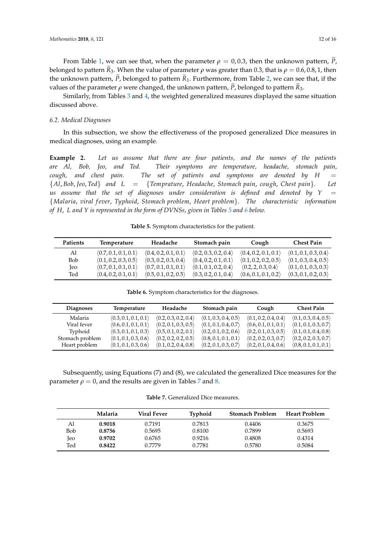From Table [1,](#page-10-0) we can see that, when the parameter  $\rho = 0.0.3$ , then the unknown pattern,  $\tilde{P}$ , belonged to pattern  $\tilde{R}_3$ . When the value of parameter *ρ* was greater than 0.3, that is  $\rho = 0.6, 0.8, 1$ , then the unknown pattern,  $\tilde{P}$ , belonged to pattern  $\tilde{R}_1$ . Furthermore, from Table [2,](#page-10-1) we can see that, if the values of the parameter  $\rho$  were changed, the unknown pattern,  $\tilde{P}$ , belonged to pattern  $\tilde{R}_3$ .

Similarly, from Tables [3](#page-10-2) and [4,](#page-10-3) the weighted generalized measures displayed the same situation discussed above.

### *6.2. Medical Diagnoses*

In this subsection, we show the effectiveness of the proposed generalized Dice measures in medical diagnoses, using an example.

**Example 2.** *Let us assume that there are four patients, and the names of the patients are Al, Bob, Jeo, and Ted. Their symptoms are temperature, headache, stomach pain, cough, and chest pain.* The set of patients and symptoms are denoted by  $H =$ {*Al*, *Bob*, *Jeo*, *Ted*} *and L* = {*Temprature*, *Headache*, *Stomach pain*, *cough*, *Chest pain*}*. Let us assume that the set of diagnoses under consideration is defined and denoted by*  $Y =$ {*Malaria*, *viral f ever*, *Typhoid*, *Stomach problem*, *Heart problem*}. *The characteristic information of H*, *L and Y is represented in the form of DVNSs, given in Tables [5](#page-11-0) and [6](#page-11-1) below.*

**Table 5.** Symptom characteristics for the patient.

<span id="page-11-0"></span>

| <b>Patients</b> | Temperature          | Headache                             | Stomach pain         | Cough                | <b>Chest Pain</b>    |
|-----------------|----------------------|--------------------------------------|----------------------|----------------------|----------------------|
| Al              | (0.7, 0.1, 0.1, 0.1) | $\langle 0.4, 0.2, 0.1, 0.1 \rangle$ | (0.2, 0.3, 0.2, 0.4) | (0.4, 0.2, 0.1, 0.1) | (0.1, 0.1, 0.3, 0.4) |
| Bob             | (0.1, 0.2, 0.3, 0.5) | (0.3, 0.2, 0.3, 0.4)                 | (0.4, 0.2, 0.1, 0.1) | (0.1, 0.2, 0.2, 0.5) | (0.1, 0.3, 0.4, 0.5) |
| <b>Jeo</b>      | (0.7, 0.1, 0.1, 0.1) | (0.7, 0.1, 0.1, 0.1)                 | (0.1, 0.1, 0.2, 0.4) | (0.2, 2, 0.3, 0.4)   | (0.1, 0.1, 0.3, 0.3) |
| Ted             | (0.4, 0.2, 0.1, 0.1) | (0.5, 0.1, 0.2, 0.5)                 | (0.3, 0.2, 0.1, 0.4) | (0.6, 0.1, 0.1, 0.2) | (0.3, 0.1, 0.2, 0.3) |

**Table 6.** Symptom characteristics for the diagnoses.

<span id="page-11-1"></span>

| <b>Diagnoses</b> | Temperature          | Headache             | Stomach pain         | Cough                | <b>Chest Pain</b>    |
|------------------|----------------------|----------------------|----------------------|----------------------|----------------------|
| Malaria          | (0.3, 0.1, 0.1, 0.1) | (0.2, 0.3, 0.2, 0.4) | (0.1, 0.3, 0.4, 0.5) | (0.1, 0.2, 0.4, 0.4) | (0.1, 0.3, 0.4, 0.5) |
| Viral fever      | (0.6, 0.1, 0.1, 0.1) | (0.2, 0.1, 0.3, 0.5) | (0.1, 0.1, 0.4, 0.7) | (0.6, 0.1, 0.1, 0.1) | (0.1, 0.1, 0.3, 0.7) |
| Typhoid          | (0.3, 0.1, 0.1, 0.3) | (0.5, 0.1, 0.2, 0.1) | (0.2, 0.1, 0.2, 0.6) | (0.2, 0.1, 0.3, 0.5) | (0.1, 0.1, 0.4, 0.8) |
| Stomach problem  | (0.1, 0.1, 0.3, 0.6) | (0.2, 0.2, 0.2, 0.5) | (0.8, 0.1, 0.1, 0.1) | (0.2, 0.2, 0.3, 0.7) | (0.2, 0.2, 0.3, 0.7) |
| Heart problem    | (0.1, 0.1, 0.3, 0.6) | (0.1, 0.2, 0.4, 0.8) | (0.2, 0.1, 0.3, 0.7) | (0.2, 0.1, 0.4, 0.6) | (0.8, 0.1, 0.1, 0.1) |

<span id="page-11-2"></span>Subsequently, using Equations (7) and (8), we calculated the generalized Dice measures for the parameter  $\rho = 0$ , and the results are given in Tables [7](#page-11-2) and [8.](#page-12-0)

**Table 7.** Generalized Dice measures.

|     | Malaria | Viral Fever | Typhoid | <b>Stomach Problem</b> | <b>Heart Problem</b> |
|-----|---------|-------------|---------|------------------------|----------------------|
| Al  | 0.9018  | 0.7191      | 0.7813  | 0.4406                 | 0.3675               |
| Bob | 0.8756  | 0.5695      | 0.8100  | 0.7899                 | 0.5693               |
| leo | 0.9702  | 0.6765      | 0.9216  | 0.4808                 | 0.4314               |
| Ted | 0.8422  | 0.7779      | 0.7781  | 0.5780                 | 0.5084               |
|     |         |             |         |                        |                      |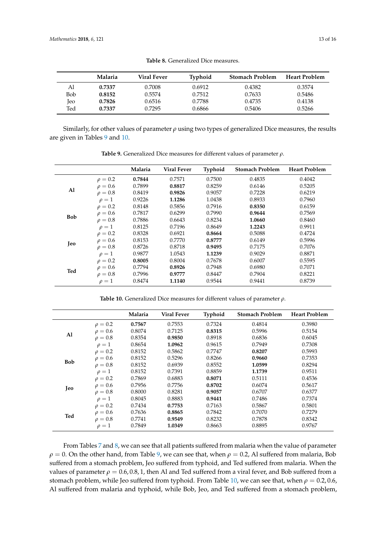<span id="page-12-0"></span>

|     | Malaria | Viral Fever | <b>Typhoid</b> | <b>Stomach Problem</b> | <b>Heart Problem</b> |
|-----|---------|-------------|----------------|------------------------|----------------------|
| Αl  | 0.7337  | 0.7008      | 0.6912         | 0.4382                 | 0.3574               |
| Bob | 0.8152  | 0.5574      | 0.7512         | 0.7633                 | 0.5486               |
| Jeo | 0.7826  | 0.6516      | 0.7788         | 0.4735                 | 0.4138               |
| Ted | 0.7337  | 0.7295      | 0.6866         | 0.5406                 | 0.5266               |

**Table 8.** Generalized Dice measures.

<span id="page-12-1"></span>Similarly, for other values of parameter *ρ* using two types of generalized Dice measures, the results are given in Tables [9](#page-12-1) and [10.](#page-12-2)

|            |              | Malaria | <b>Viral Fever</b> | Typhoid | <b>Stomach Problem</b> | <b>Heart Problem</b> |
|------------|--------------|---------|--------------------|---------|------------------------|----------------------|
|            | $\rho = 0.2$ | 0.7844  | 0.7571             | 0.7500  | 0.4835                 | 0.4042               |
|            | $\rho = 0.6$ | 0.7899  | 0.8817             | 0.8259  | 0.6146                 | 0.5205               |
| Al         | $\rho = 0.8$ | 0.8419  | 0.9826             | 0.9057  | 0.7228                 | 0.6219               |
|            | $\rho=1$     | 0.9226  | 1.1286             | 1.0438  | 0.8933                 | 0.7960               |
|            | $\rho = 0.2$ | 0.8148  | 0.5856             | 0.7916  | 0.8350                 | 0.6159               |
|            | $\rho = 0.6$ | 0.7817  | 0.6299             | 0.7990  | 0.9644                 | 0.7569               |
| <b>Bob</b> | $\rho = 0.8$ | 0.7886  | 0.6643             | 0.8234  | 1.0660                 | 0.8460               |
|            | $\rho=1$     | 0.8125  | 0.7196             | 0.8649  | 1.2243                 | 0.9911               |
|            | $\rho = 0.2$ | 0.8328  | 0.6921             | 0.8664  | 0.5088                 | 0.4724               |
| Jeo        | $\rho = 0.6$ | 0.8153  | 0.7770             | 0.8777  | 0.6149                 | 0.5996               |
|            | $\rho = 0.8$ | 0.8726  | 0.8718             | 0.9495  | 0.7175                 | 0.7076               |
|            | $\rho=1$     | 0.9877  | 1.0543             | 1.1239  | 0.9029                 | 0.8871               |
|            | $\rho = 0.2$ | 0.8005  | 0.8004             | 0.7678  | 0.6007                 | 0.5595               |
| Ted        | $\rho = 0.6$ | 0.7794  | 0.8926             | 0.7948  | 0.6980                 | 0.7071               |
|            | $\rho = 0.8$ | 0.7996  | 0.9777             | 0.8447  | 0.7904                 | 0.8221               |
|            | $\rho=1$     | 0.8474  | 1.1140             | 0.9544  | 0.9441                 | 0.8739               |

**Table 9.** Generalized Dice measures for different values of parameter *ρ*.

**Table 10.** Generalized Dice measures for different values of parameter *ρ*.

<span id="page-12-2"></span>

|            |              | Malaria | <b>Viral Fever</b> | Typhoid | <b>Stomach Problem</b> | <b>Heart Problem</b> |
|------------|--------------|---------|--------------------|---------|------------------------|----------------------|
|            | $\rho = 0.2$ | 0.7567  | 0.7553             | 0.7324  | 0.4814                 | 0.3980               |
|            | $\rho = 0.6$ | 0.8074  | 0.7125             | 0.8315  | 0.5996                 | 0.5154               |
| Al         | $\rho = 0.8$ | 0.8354  | 0.9850             | 0.8918  | 0.6836                 | 0.6045               |
|            | $\rho = 1$   | 0.8654  | 1.0962             | 0.9615  | 0.7949                 | 0.7308               |
|            | $\rho = 0.2$ | 0.8152  | 0.5862             | 0.7747  | 0.8207                 | 0.5993               |
| <b>Bob</b> | $\rho = 0.6$ | 0.8152  | 0.5296             | 0.8266  | 0.9660                 | 0.7353               |
|            | $\rho = 0.8$ | 0.8152  | 0.6939             | 0.8552  | 1.0599                 | 0.8294               |
|            | $\rho=1$     | 0.8152  | 0.7391             | 0.8859  | 1.1739                 | 0.9511               |
|            | $\rho = 0.2$ | 0.7869  | 0.6883             | 0.8071  | 0.5111                 | 0.4536               |
| Jeo        | $\rho = 0.6$ | 0.7956  | 0.7756             | 0.8702  | 0.6074                 | 0.5617               |
|            | $\rho = 0.8$ | 0.8000  | 0.8281             | 0.9057  | 0.6707                 | 0.6377               |
|            | $\rho=1$     | 0.8045  | 0.8883             | 0.9441  | 0.7486                 | 0.7374               |
|            | $\rho = 0.2$ | 0.7434  | 0.7753             | 0.7163  | 0.5867                 | 0.5801               |
|            | $\rho = 0.6$ | 0.7636  | 0.8865             | 0.7842  | 0.7070                 | 0.7279               |
| Ted        | $\rho = 0.8$ | 0.7741  | 0.9549             | 0.8232  | 0.7878                 | 0.8342               |
|            | $\rho=1$     | 0.7849  | 1.0349             | 0.8663  | 0.8895                 | 0.9767               |

From Tables [7](#page-11-2) and [8,](#page-12-0) we can see that all patients suffered from malaria when the value of parameter  $\rho = 0$ . On the other hand, from Table [9,](#page-12-1) we can see that, when  $\rho = 0.2$ , Al suffered from malaria, Bob suffered from a stomach problem, Jeo suffered from typhoid, and Ted suffered from malaria. When the values of parameter  $\rho = 0.6, 0.8, 1$ , then Al and Ted suffered from a viral fever, and Bob suffered from a stomach problem, while Jeo suffered from typhoid. From Table [10,](#page-12-2) we can see that, when  $\rho = 0.2, 0.6$ , Al suffered from malaria and typhoid, while Bob, Jeo, and Ted suffered from a stomach problem,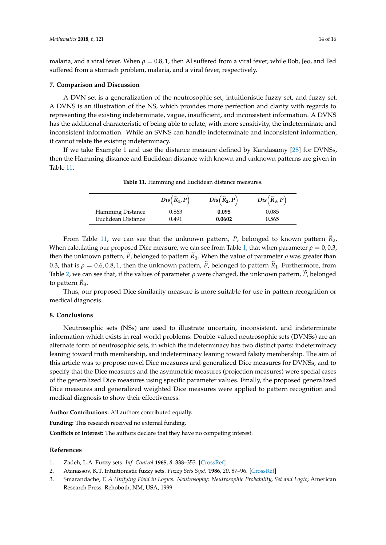malaria, and a viral fever. When  $\rho = 0.8$ , 1, then Al suffered from a viral fever, while Bob, Jeo, and Ted suffered from a stomach problem, malaria, and a viral fever, respectively.

### **7. Comparison and Discussion**

A DVN set is a generalization of the neutrosophic set, intuitionistic fuzzy set, and fuzzy set. A DVNS is an illustration of the NS, which provides more perfection and clarity with regards to representing the existing indeterminate, vague, insufficient, and inconsistent information. A DVNS has the additional characteristic of being able to relate, with more sensitivity, the indeterminate and inconsistent information. While an SVNS can handle indeterminate and inconsistent information, it cannot relate the existing indeterminacy.

<span id="page-13-3"></span>If we take Example 1 and use the distance measure defined by Kandasamy [\[28\]](#page-15-0) for DVNSs, then the Hamming distance and Euclidean distance with known and unknown patterns are given in Table [11.](#page-13-3)

|                         | $Dis(\widetilde{R}_1, P)$ | $Dis(\widetilde{R}_2, P)$ | $Dis(\widetilde{R}_3, P)$ |
|-------------------------|---------------------------|---------------------------|---------------------------|
| <b>Hamming Distance</b> | 0.863                     | 0.095                     | 0.085                     |
| Euclidean Distance      | 0.491                     | 0.0602                    | 0.565                     |

**Table 11.** Hamming and Euclidean distance measures.

From Table [11,](#page-13-3) we can see that the unknown pattern, *P*, belonged to known pattern *R*<sub>2</sub>. When calculating our proposed Dice measure, we can see from Table [1,](#page-10-0) that when parameter  $\rho = 0.0.3$ , then the unknown pattern, *P*, belonged to pattern  $R_3$ . When the value of parameter  $\rho$  was greater than 0.3, that is  $\rho = 0.6, 0.8, 1$ , then the unknown pattern,  $\tilde{P}$ , belonged to pattern  $\tilde{R}_1$ . Furthermore, from Table [2,](#page-10-1) we can see that, if the values of parameter  $\rho$  were changed, the unknown pattern,  $\dot{P}$ , belonged to pattern  $R_3$ .

Thus, our proposed Dice similarity measure is more suitable for use in pattern recognition or medical diagnosis.

## **8. Conclusions**

Neutrosophic sets (NSs) are used to illustrate uncertain, inconsistent, and indeterminate information which exists in real-world problems. Double-valued neutrosophic sets (DVNSs) are an alternate form of neutrosophic sets, in which the indeterminacy has two distinct parts: indeterminacy leaning toward truth membership, and indeterminacy leaning toward falsity membership. The aim of this article was to propose novel Dice measures and generalized Dice measures for DVNSs, and to specify that the Dice measures and the asymmetric measures (projection measures) were special cases of the generalized Dice measures using specific parameter values. Finally, the proposed generalized Dice measures and generalized weighted Dice measures were applied to pattern recognition and medical diagnosis to show their effectiveness.

**Author Contributions:** All authors contributed equally.

**Funding:** This research received no external funding.

**Conflicts of Interest:** The authors declare that they have no competing interest.

## **References**

- <span id="page-13-0"></span>1. Zadeh, L.A. Fuzzy sets. *Inf. Control* **1965**, *8*, 338–353. [\[CrossRef\]](http://dx.doi.org/10.1016/S0019-9958(65)90241-X)
- <span id="page-13-1"></span>2. Atanassov, K.T. Intuitionistic fuzzy sets. *Fuzzy Sets Syst.* **1986**, *20*, 87–96. [\[CrossRef\]](http://dx.doi.org/10.1016/S0165-0114(86)80034-3)
- <span id="page-13-2"></span>3. Smarandache, F. *A Unifying Field in Logics. Neutrosophy: Neutrosophic Probability, Set and Logic*; American Research Press: Rehoboth, NM, USA, 1999.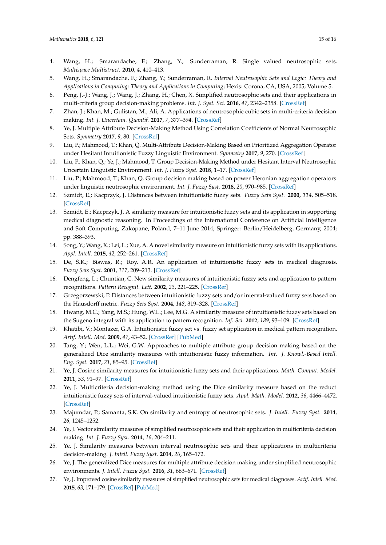- <span id="page-14-0"></span>4. Wang, H.; Smarandache, F.; Zhang, Y.; Sunderraman, R. Single valued neutrosophic sets. *Multispace Multistruct.* **2010**, *4*, 410–413.
- <span id="page-14-1"></span>5. Wang, H.; Smarandache, F.; Zhang, Y.; Sunderraman, R. *Interval Neutrosophic Sets and Logic: Theory and Applications in Computing: Theory and Applications in Computing*; Hexis: Corona, CA, USA, 2005; Volume 5.
- <span id="page-14-2"></span>6. Peng, J.-J.; Wang, J.; Wang, J.; Zhang, H.; Chen, X. Simplified neutrosophic sets and their applications in multi-criteria group decision-making problems. *Int. J. Syst. Sci.* **2016**, *47*, 2342–2358. [\[CrossRef\]](http://dx.doi.org/10.1080/00207721.2014.994050)
- <span id="page-14-3"></span>7. Zhan, J.; Khan, M.; Gulistan, M.; Ali, A. Applications of neutrosophic cubic sets in multi-criteria decision making. *Int. J. Uncertain. Quantif.* **2017**, *7*, 377–394. [\[CrossRef\]](http://dx.doi.org/10.1615/Int.J.UncertaintyQuantification.2017020446)
- <span id="page-14-4"></span>8. Ye, J. Multiple Attribute Decision-Making Method Using Correlation Coefficients of Normal Neutrosophic Sets. *Symmetry* **2017**, *9*, 80. [\[CrossRef\]](http://dx.doi.org/10.3390/sym9060080)
- <span id="page-14-5"></span>9. Liu, P.; Mahmood, T.; Khan, Q. Multi-Attribute Decision-Making Based on Prioritized Aggregation Operator under Hesitant Intuitionistic Fuzzy Linguistic Environment. *Symmetry* **2017**, *9*, 270. [\[CrossRef\]](http://dx.doi.org/10.3390/sym9110270)
- 10. Liu, P.; Khan, Q.; Ye, J.; Mahmood, T. Group Decision-Making Method under Hesitant Interval Neutrosophic Uncertain Linguistic Environment. *Int. J. Fuzzy Syst.* **2018**, 1–17. [\[CrossRef\]](http://dx.doi.org/10.1007/s40815-017-0445-4)
- <span id="page-14-6"></span>11. Liu, P.; Mahmood, T.; Khan, Q. Group decision making based on power Heronian aggregation operators under linguistic neutrosophic environment. *Int. J. Fuzzy Syst.* **2018**, *20*, 970–985. [\[CrossRef\]](http://dx.doi.org/10.1007/s40815-018-0450-2)
- <span id="page-14-7"></span>12. Szmidt, E.; Kacprzyk, J. Distances between intuitionistic fuzzy sets. *Fuzzy Sets Syst.* **2000**, *114*, 505–518. [\[CrossRef\]](http://dx.doi.org/10.1016/S0165-0114(98)00244-9)
- 13. Szmidt, E.; Kacprzyk, J. A similarity measure for intuitionistic fuzzy sets and its application in supporting medical diagnostic reasoning. In Proceedings of the International Conference on Artificial Intelligence and Soft Computing, Zakopane, Poland, 7–11 June 2014; Springer: Berlin/Heidelberg, Germany, 2004; pp. 388–393.
- <span id="page-14-8"></span>14. Song, Y.; Wang, X.; Lei, L.; Xue, A. A novel similarity measure on intuitionistic fuzzy sets with its applications. *Appl. Intell.* **2015**, *42*, 252–261. [\[CrossRef\]](http://dx.doi.org/10.1007/s10489-014-0596-z)
- <span id="page-14-9"></span>15. De, S.K.; Biswas, R.; Roy, A.R. An application of intuitionistic fuzzy sets in medical diagnosis. *Fuzzy Sets Syst.* **2001**, *117*, 209–213. [\[CrossRef\]](http://dx.doi.org/10.1016/S0165-0114(98)00235-8)
- <span id="page-14-10"></span>16. Dengfeng, L.; Chuntian, C. New similarity measures of intuitionistic fuzzy sets and application to pattern recognitions. *Pattern Recognit. Lett.* **2002**, *23*, 221–225. [\[CrossRef\]](http://dx.doi.org/10.1016/S0167-8655(01)00110-6)
- <span id="page-14-11"></span>17. Grzegorzewski, P. Distances between intuitionistic fuzzy sets and/or interval-valued fuzzy sets based on the Hausdorff metric. *Fuzzy Sets Syst.* **2004**, *148*, 319–328. [\[CrossRef\]](http://dx.doi.org/10.1016/j.fss.2003.08.005)
- <span id="page-14-12"></span>18. Hwang, M.C.; Yang, M.S.; Hung, W.L.; Lee, M.G. A similarity measure of intuitionistic fuzzy sets based on the Sugeno integral with its application to pattern recognition. *Inf. Sci.* **2012**, *189*, 93–109. [\[CrossRef\]](http://dx.doi.org/10.1016/j.ins.2011.11.029)
- <span id="page-14-13"></span>19. Khatibi, V.; Montazer, G.A. Intuitionistic fuzzy set vs. fuzzy set application in medical pattern recognition. *Artif. Intell. Med.* **2009**, *47*, 43–52. [\[CrossRef\]](http://dx.doi.org/10.1016/j.artmed.2009.03.002) [\[PubMed\]](http://www.ncbi.nlm.nih.gov/pubmed/19375899)
- <span id="page-14-14"></span>20. Tang, Y.; Wen, L.L.; Wei, G.W. Approaches to multiple attribute group decision making based on the generalized Dice similarity measures with intuitionistic fuzzy information. *Int. J. Knowl.-Based Intell. Eng. Syst.* **2017**, *21*, 85–95. [\[CrossRef\]](http://dx.doi.org/10.3233/KES-170354)
- <span id="page-14-15"></span>21. Ye, J. Cosine similarity measures for intuitionistic fuzzy sets and their applications. *Math. Comput. Model.* **2011**, *53*, 91–97. [\[CrossRef\]](http://dx.doi.org/10.1016/j.mcm.2010.07.022)
- <span id="page-14-16"></span>22. Ye, J. Multicriteria decision-making method using the Dice similarity measure based on the reduct intuitionistic fuzzy sets of interval-valued intuitionistic fuzzy sets. *Appl. Math. Model.* **2012**, *36*, 4466–4472. [\[CrossRef\]](http://dx.doi.org/10.1016/j.apm.2011.11.075)
- <span id="page-14-17"></span>23. Majumdar, P.; Samanta, S.K. On similarity and entropy of neutrosophic sets. *J. Intell. Fuzzy Syst.* **2014**, *26*, 1245–1252.
- <span id="page-14-18"></span>24. Ye, J. Vector similarity measures of simplified neutrosophic sets and their application in multicriteria decision making. *Int. J. Fuzzy Syst.* **2014**, *16*, 204–211.
- 25. Ye, J. Similarity measures between interval neutrosophic sets and their applications in multicriteria decision-making. *J. Intell. Fuzzy Syst.* **2014**, *26*, 165–172.
- <span id="page-14-19"></span>26. Ye, J. The generalized Dice measures for multiple attribute decision making under simplified neutrosophic environments. *J. Intell. Fuzzy Syst.* **2016**, *31*, 663–671. [\[CrossRef\]](http://dx.doi.org/10.3233/IFS-162179)
- <span id="page-14-20"></span>27. Ye, J. Improved cosine similarity measures of simplified neutrosophic sets for medical diagnoses. *Artif. Intell. Med.* **2015**, *63*, 171–179. [\[CrossRef\]](http://dx.doi.org/10.1016/j.artmed.2014.12.007) [\[PubMed\]](http://www.ncbi.nlm.nih.gov/pubmed/25704111)